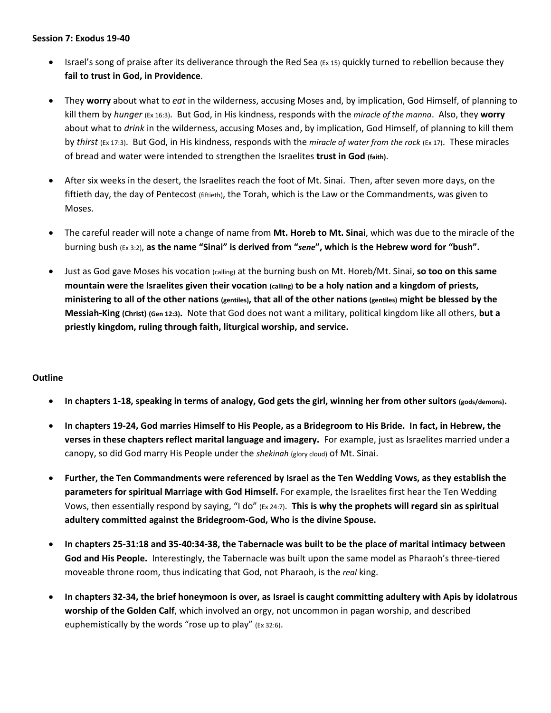## **Session 7: Exodus 19-40**

- Israel's song of praise after its deliverance through the Red Sea (Ex 15) quickly turned to rebellion because they **fail to trust in God, in Providence**.
- They **worry** about what to *eat* in the wilderness, accusing Moses and, by implication, God Himself, of planning to kill them by *hunger* (Ex 16:3). But God, in His kindness, responds with the *miracle of the manna*. Also, they **worry**  about what to *drink* in the wilderness, accusing Moses and, by implication, God Himself, of planning to kill them by *thirst* (Ex 17:3). But God, in His kindness, responds with the *miracle of water from the rock* (Ex 17). These miracles of bread and water were intended to strengthen the Israelites **trust in God (faith)**.
- After six weeks in the desert, the Israelites reach the foot of Mt. Sinai. Then, after seven more days, on the fiftieth day, the day of Pentecost (fiftieth), the Torah, which is the Law or the Commandments, was given to Moses.
- The careful reader will note a change of name from **Mt. Horeb to Mt. Sinai**, which was due to the miracle of the burning bush (Ex 3:2), **as the name "Sinai" is derived from "***sene***", which is the Hebrew word for "bush".**
- Just as God gave Moses his vocation (calling) at the burning bush on Mt. Horeb/Mt. Sinai, **so too on this same mountain were the Israelites given their vocation (calling) to be a holy nation and a kingdom of priests, ministering to all of the other nations (gentiles), that all of the other nations (gentiles) might be blessed by the Messiah-King (Christ) (Gen 12:3).** Note that God does not want a military, political kingdom like all others, **but a priestly kingdom, ruling through faith, liturgical worship, and service.**

## **Outline**

- **In chapters 1-18, speaking in terms of analogy, God gets the girl, winning her from other suitors (gods/demons).**
- **In chapters 19-24, God marries Himself to His People, as a Bridegroom to His Bride. In fact, in Hebrew, the verses in these chapters reflect marital language and imagery.** For example, just as Israelites married under a canopy, so did God marry His People under the *shekinah* (glory cloud) of Mt. Sinai.
- **Further, the Ten Commandments were referenced by Israel as the Ten Wedding Vows, as they establish the parameters for spiritual Marriage with God Himself.** For example, the Israelites first hear the Ten Wedding Vows, then essentially respond by saying, "I do" (Ex 24:7). **This is why the prophets will regard sin as spiritual adultery committed against the Bridegroom-God, Who is the divine Spouse.**
- **In chapters 25-31:18 and 35-40:34-38, the Tabernacle was built to be the place of marital intimacy between God and His People.** Interestingly, the Tabernacle was built upon the same model as Pharaoh's three-tiered moveable throne room, thus indicating that God, not Pharaoh, is the *real* king.
- **In chapters 32-34, the brief honeymoon is over, as Israel is caught committing adultery with Apis by idolatrous worship of the Golden Calf**, which involved an orgy, not uncommon in pagan worship, and described euphemistically by the words "rose up to play" (Ex 32:6).